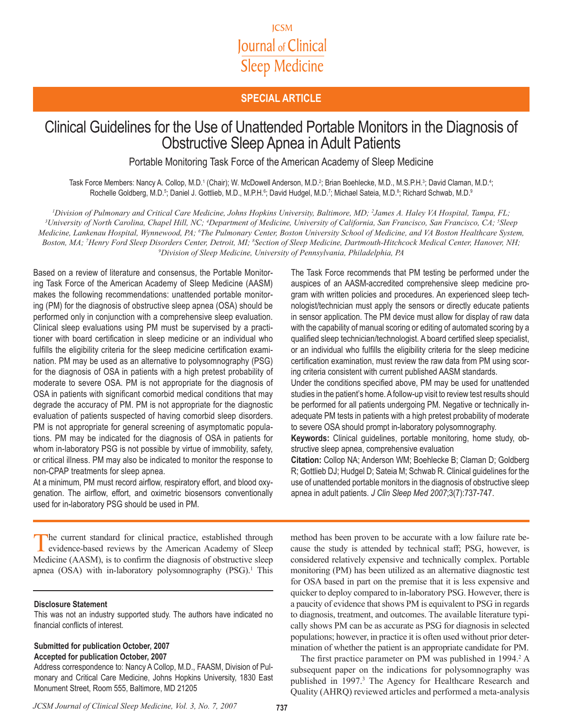# **ICSM Iournal of Clinical Sleep Medicine**

# **Special Article**

# Clinical Guidelines for the Use of Unattended Portable Monitors in the Diagnosis of Obstructive Sleep Apnea in Adult Patients

Portable Monitoring Task Force of the American Academy of Sleep Medicine

Task Force Members: Nancy A. Collop, M.D.<sup>1</sup> (Chair); W. McDowell Anderson, M.D.<sup>2</sup>; Brian Boehlecke, M.D., M.S.P.H.<sup>3</sup>; David Claman, M.D.<sup>4</sup>; Rochelle Goldberg, M.D.<sup>5</sup>; Daniel J. Gottlieb, M.D., M.P.H.<sup>6</sup>; David Hudgel, M.D.<sup>7</sup>; Michael Sateia, M.D.<sup>8</sup>; Richard Schwab, M.D.<sup>9</sup>

*<sup>1</sup>* Division of Pulmonary and Critical Care Medicine, Johns Hopkins University, Baltimore, MD; <sup>2</sup>James A. Haley VA Hospital, Tampa, FL; <sup>3</sup>University of North Carolina, Chanel Hill, NC: <sup>4</sup>Department of Medicine, Univer *University of North Carolina, Chapel Hill, NC; 4 Department of Medicine, University of California, San Francisco, San Francisco, CA; 5 Sleep Medicine, Lankenau Hospital, Wynnewood, PA; 6 The Pulmonary Center, Boston University School of Medicine, and VA Boston Healthcare System,*  Boston, MA; <sup>7</sup>Henry Ford Sleep Disorders Center, Detroit, MI; <sup>8</sup>Section of Sleep Medicine, Dartmouth-Hitchcock Medical Center, Hanover, NH;<br><sup>9</sup>Division of Sleep Medicine, University of Pennsylvania, Philadelphia, PA *Division of Sleep Medicine, University of Pennsylvania, Philadelphia, PA*

Based on a review of literature and consensus, the Portable Monitoring Task Force of the American Academy of Sleep Medicine (AASM) makes the following recommendations: unattended portable monitoring (PM) for the diagnosis of obstructive sleep apnea (OSA) should be performed only in conjunction with a comprehensive sleep evaluation. Clinical sleep evaluations using PM must be supervised by a practitioner with board certification in sleep medicine or an individual who fulfills the eligibility criteria for the sleep medicine certification examination. PM may be used as an alternative to polysomnography (PSG) for the diagnosis of OSA in patients with a high pretest probability of moderate to severe OSA. PM is not appropriate for the diagnosis of OSA in patients with significant comorbid medical conditions that may degrade the accuracy of PM. PM is not appropriate for the diagnostic evaluation of patients suspected of having comorbid sleep disorders. PM is not appropriate for general screening of asymptomatic populations. PM may be indicated for the diagnosis of OSA in patients for whom in-laboratory PSG is not possible by virtue of immobility, safety, or critical illness. PM may also be indicated to monitor the response to non-CPAP treatments for sleep apnea.

At a minimum, PM must record airflow, respiratory effort, and blood oxygenation. The airflow, effort, and oximetric biosensors conventionally used for in-laboratory PSG should be used in PM.

The current standard for clinical practice, established through evidence-based reviews by the American Academy of Sleep Medicine (AASM), is to confirm the diagnosis of obstructive sleep apnea (OSA) with in-laboratory polysomnography (PSG).<sup>1</sup> This

#### **Disclosure Statement**

This was not an industry supported study. The authors have indicated no financial conflicts of interest.

### **Submitted for publication October, 2007 Accepted for publication October, 2007**

Address correspondence to: Nancy A Collop, M.D., FAASM, Division of Pulmonary and Critical Care Medicine, Johns Hopkins University, 1830 East Monument Street, Room 555, Baltimore, MD 21205

The Task Force recommends that PM testing be performed under the auspices of an AASM-accredited comprehensive sleep medicine program with written policies and procedures. An experienced sleep technologist/technician must apply the sensors or directly educate patients in sensor application. The PM device must allow for display of raw data with the capability of manual scoring or editing of automated scoring by a qualified sleep technician/technologist. A board certified sleep specialist, or an individual who fulfills the eligibility criteria for the sleep medicine certification examination, must review the raw data from PM using scoring criteria consistent with current published AASM standards.

Under the conditions specified above, PM may be used for unattended studies in the patient's home. A follow-up visit to review test results should be performed for all patients undergoing PM. Negative or technically inadequate PM tests in patients with a high pretest probability of moderate to severe OSA should prompt in-laboratory polysomnography.

**Keywords:** Clinical guidelines, portable monitoring, home study, obstructive sleep apnea, comprehensive evaluation

**Citation:** Collop NA; Anderson WM; Boehlecke B; Claman D; Goldberg R; Gottlieb DJ; Hudgel D; Sateia M; Schwab R. Clinical guidelines for the use of unattended portable monitors in the diagnosis of obstructive sleep apnea in adult patients. *J Clin Sleep Med 2007*;3(7):737-747.

method has been proven to be accurate with a low failure rate because the study is attended by technical staff; PSG, however, is considered relatively expensive and technically complex. Portable monitoring (PM) has been utilized as an alternative diagnostic test for OSA based in part on the premise that it is less expensive and quicker to deploy compared to in-laboratory PSG. However, there is a paucity of evidence that shows PM is equivalent to PSG in regards to diagnosis, treatment, and outcomes. The available literature typically shows PM can be as accurate as PSG for diagnosis in selected populations; however, in practice it is often used without prior determination of whether the patient is an appropriate candidate for PM.

The first practice parameter on PM was published in 1994.<sup>2</sup> A subsequent paper on the indications for polysomnography was published in 1997.<sup>3</sup> The Agency for Healthcare Research and Quality (AHRQ) reviewed articles and performed a meta-analysis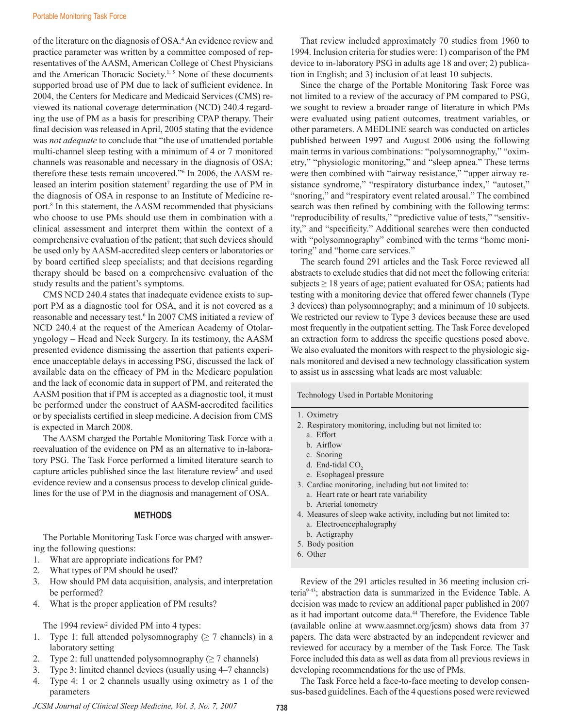of the literature on the diagnosis of OSA.<sup>4</sup> An evidence review and practice parameter was written by a committee composed of representatives of the AASM, American College of Chest Physicians and the American Thoracic Society.<sup>1, 5</sup> None of these documents supported broad use of PM due to lack of sufficient evidence. In 2004, the Centers for Medicare and Medicaid Services (CMS) reviewed its national coverage determination (NCD) 240.4 regarding the use of PM as a basis for prescribing CPAP therapy. Their final decision was released in April, 2005 stating that the evidence was *not adequate* to conclude that "the use of unattended portable multi-channel sleep testing with a minimum of 4 or 7 monitored channels was reasonable and necessary in the diagnosis of OSA; therefore these tests remain uncovered."6 In 2006, the AASM released an interim position statement<sup>7</sup> regarding the use of PM in the diagnosis of OSA in response to an Institute of Medicine report.<sup>8</sup> In this statement, the AASM recommended that physicians who choose to use PMs should use them in combination with a clinical assessment and interpret them within the context of a comprehensive evaluation of the patient; that such devices should be used only by AASM-accredited sleep centers or laboratories or by board certified sleep specialists; and that decisions regarding therapy should be based on a comprehensive evaluation of the study results and the patient's symptoms.

CMS NCD 240.4 states that inadequate evidence exists to support PM as a diagnostic tool for OSA, and it is not covered as a reasonable and necessary test.<sup>6</sup> In 2007 CMS initiated a review of NCD 240.4 at the request of the American Academy of Otolaryngology – Head and Neck Surgery. In its testimony, the AASM presented evidence dismissing the assertion that patients experience unacceptable delays in accessing PSG, discussed the lack of available data on the efficacy of PM in the Medicare population and the lack of economic data in support of PM, and reiterated the AASM position that if PM is accepted as a diagnostic tool, it must be performed under the construct of AASM-accredited facilities or by specialists certified in sleep medicine. A decision from CMS is expected in March 2008.

The AASM charged the Portable Monitoring Task Force with a reevaluation of the evidence on PM as an alternative to in-laboratory PSG. The Task Force performed a limited literature search to capture articles published since the last literature review<sup>5</sup> and used evidence review and a consensus process to develop clinical guidelines for the use of PM in the diagnosis and management of OSA.

### **Methods**

The Portable Monitoring Task Force was charged with answering the following questions:

- 1. What are appropriate indications for PM?
- 2. What types of PM should be used?
- 3. How should PM data acquisition, analysis, and interpretation be performed?
- 4. What is the proper application of PM results?

The 1994 review<sup>2</sup> divided PM into 4 types:

- 1. Type 1: full attended polysomnography ( $\geq$  7 channels) in a laboratory setting
- 2. Type 2: full unattended polysomnography  $(≥ 7$  channels)
- 3. Type 3: limited channel devices (usually using 4–7 channels)
- 4. Type 4: 1 or 2 channels usually using oximetry as 1 of the parameters

That review included approximately 70 studies from 1960 to 1994. Inclusion criteria for studies were: 1) comparison of the PM device to in-laboratory PSG in adults age 18 and over; 2) publication in English; and 3) inclusion of at least 10 subjects.

Since the charge of the Portable Monitoring Task Force was not limited to a review of the accuracy of PM compared to PSG, we sought to review a broader range of literature in which PMs were evaluated using patient outcomes, treatment variables, or other parameters. A MEDLINE search was conducted on articles published between 1997 and August 2006 using the following main terms in various combinations: "polysomnography," "oximetry," "physiologic monitoring," and "sleep apnea." These terms were then combined with "airway resistance," "upper airway resistance syndrome," "respiratory disturbance index," "autoset," "snoring," and "respiratory event related arousal." The combined search was then refined by combining with the following terms: "reproducibility of results," "predictive value of tests," "sensitivity," and "specificity." Additional searches were then conducted with "polysomnography" combined with the terms "home monitoring" and "home care services."

The search found 291 articles and the Task Force reviewed all abstracts to exclude studies that did not meet the following criteria: subjects  $\geq 18$  years of age; patient evaluated for OSA; patients had testing with a monitoring device that offered fewer channels (Type 3 devices) than polysomnography; and a minimum of 10 subjects. We restricted our review to Type 3 devices because these are used most frequently in the outpatient setting. The Task Force developed an extraction form to address the specific questions posed above. We also evaluated the monitors with respect to the physiologic signals monitored and devised a new technology classification system to assist us in assessing what leads are most valuable:

Technology Used in Portable Monitoring

- 2. Respiratory monitoring, including but not limited to:
	- a. Effort
	- b. Airflow
	- c. Snoring
	- d. End-tidal CO<sub>2</sub>
	- e. Esophageal pressure
- 3. Cardiac monitoring, including but not limited to: a. Heart rate or heart rate variability
	- b. Arterial tonometry
- 4. Measures of sleep wake activity, including but not limited to: a. Electroencephalography
	- b. Actigraphy
- 5. Body position
- 6. Other

Review of the 291 articles resulted in 36 meeting inclusion criteria9-43; abstraction data is summarized in the Evidence Table. A decision was made to review an additional paper published in 2007 as it had important outcome data.<sup>44</sup> Therefore, the Evidence Table (available online at www.aasmnet.org/jcsm) shows data from 37 papers. The data were abstracted by an independent reviewer and reviewed for accuracy by a member of the Task Force. The Task Force included this data as well as data from all previous reviews in developing recommendations for the use of PMs.

The Task Force held a face-to-face meeting to develop consensus-based guidelines. Each of the 4 questions posed were reviewed

<sup>1.</sup> Oximetry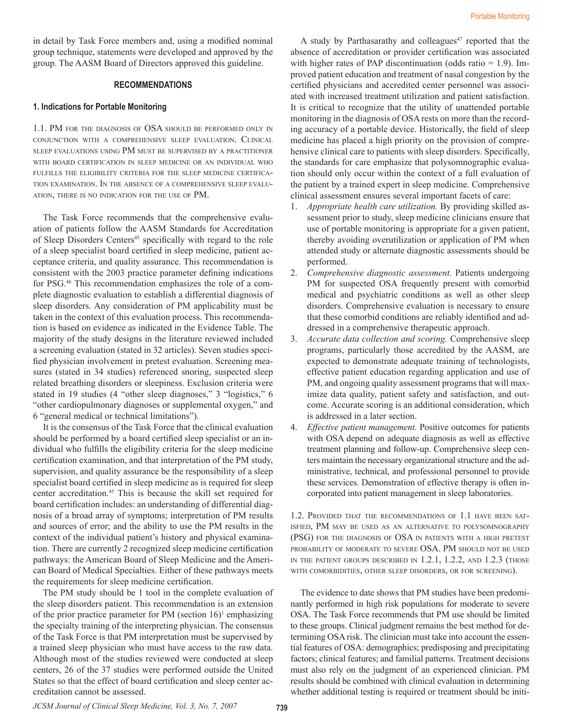in detail by Task Force members and, using a modified nominal group technique, statements were developed and approved by the group. The AASM Board of Directors approved this guideline.

### **Recommendations**

### **1. Indications for Portable Monitoring**

1.1. PM for the diagnosis of OSA should be performed only in conjunction with <sup>a</sup> comprehensive sleep evaluation. Clinical sleep evaluations using PM must be supervised by <sup>a</sup> practitioner with board certification in sleep medicine or an individual who fulfills the eligibility criteria for the sleep medicine certification examination. In the absence of <sup>a</sup> comprehensive sleep evaluation, there is no indication for the use of PM.

The Task Force recommends that the comprehensive evaluation of patients follow the AASM Standards for Accreditation of Sleep Disorders Centers<sup>45</sup> specifically with regard to the role of a sleep specialist board certified in sleep medicine, patient acceptance criteria, and quality assurance. This recommendation is consistent with the 2003 practice parameter defining indications for PSG.46 This recommendation emphasizes the role of a complete diagnostic evaluation to establish a differential diagnosis of sleep disorders. Any consideration of PM applicability must be taken in the context of this evaluation process. This recommendation is based on evidence as indicated in the Evidence Table. The majority of the study designs in the literature reviewed included a screening evaluation (stated in 32 articles). Seven studies specified physician involvement in pretest evaluation. Screening measures (stated in 34 studies) referenced snoring, suspected sleep related breathing disorders or sleepiness. Exclusion criteria were stated in 19 studies (4 "other sleep diagnoses," 3 "logistics," 6 "other cardiopulmonary diagnoses or supplemental oxygen," and 6 "general medical or technical limitations").

It is the consensus of the Task Force that the clinical evaluation should be performed by a board certified sleep specialist or an individual who fulfills the eligibility criteria for the sleep medicine certification examination, and that interpretation of the PM study, supervision, and quality assurance be the responsibility of a sleep specialist board certified in sleep medicine as is required for sleep center accreditation.<sup>45</sup> This is because the skill set required for board certification includes: an understanding of differential diagnosis of a broad array of symptoms; interpretation of PM results and sources of error; and the ability to use the PM results in the context of the individual patient's history and physical examination. There are currently 2 recognized sleep medicine certification pathways: the American Board of Sleep Medicine and the American Board of Medical Specialties. Either of these pathways meets the requirements for sleep medicine certification.

The PM study should be 1 tool in the complete evaluation of the sleep disorders patient. This recommendation is an extension of the prior practice parameter for PM (section  $16$ )<sup>1</sup> emphasizing the specialty training of the interpreting physician. The consensus of the Task Force is that PM interpretation must be supervised by a trained sleep physician who must have access to the raw data. Although most of the studies reviewed were conducted at sleep centers, 26 of the 37 studies were performed outside the United States so that the effect of board certification and sleep center accreditation cannot be assessed.

A study by Parthasarathy and colleagues<sup> $47$ </sup> reported that the absence of accreditation or provider certification was associated with higher rates of PAP discontinuation (odds ratio  $= 1.9$ ). Improved patient education and treatment of nasal congestion by the certified physicians and accredited center personnel was associated with increased treatment utilization and patient satisfaction. It is critical to recognize that the utility of unattended portable monitoring in the diagnosis of OSA rests on more than the recording accuracy of a portable device. Historically, the field of sleep medicine has placed a high priority on the provision of comprehensive clinical care to patients with sleep disorders. Specifically, the standards for care emphasize that polysomnographic evaluation should only occur within the context of a full evaluation of the patient by a trained expert in sleep medicine. Comprehensive clinical assessment ensures several important facets of care:

- 1. *Appropriate health care utilization.* By providing skilled assessment prior to study, sleep medicine clinicians ensure that use of portable monitoring is appropriate for a given patient, thereby avoiding overutilization or application of PM when attended study or alternate diagnostic assessments should be performed.
- 2. *Comprehensive diagnostic assessment.* Patients undergoing PM for suspected OSA frequently present with comorbid medical and psychiatric conditions as well as other sleep disorders. Comprehensive evaluation is necessary to ensure that these comorbid conditions are reliably identified and addressed in a comprehensive therapeutic approach.
- 3. *Accurate data collection and scoring.* Comprehensive sleep programs, particularly those accredited by the AASM, are expected to demonstrate adequate training of technologists, effective patient education regarding application and use of PM, and ongoing quality assessment programs that will maximize data quality, patient safety and satisfaction, and outcome. Accurate scoring is an additional consideration, which is addressed in a later section.
- 4. *Effective patient management.* Positive outcomes for patients with OSA depend on adequate diagnosis as well as effective treatment planning and follow-up. Comprehensive sleep centers maintain the necessary organizational structure and the administrative, technical, and professional personnel to provide these services. Demonstration of effective therapy is often incorporated into patient management in sleep laboratories.

1.2. Provided that the recommendations of 1.1 have been satisfied, PM may be used as an alternative to polysomnography (PSG) for the diagnosis of OSA in patients with <sup>a</sup> high pretest probability of moderate to severe OSA. PM should not be used IN THE PATIENT GROUPS DESCRIBED IN  $1.2.1$ ,  $1.2.2$ , and  $1.2.3$  (Those with comorbidities, other sleep disorders, or for screening).

The evidence to date shows that PM studies have been predominantly performed in high risk populations for moderate to severe OSA. The Task Force recommends that PM use should be limited to these groups. Clinical judgment remains the best method for determining OSA risk. The clinician must take into account the essential features of OSA: demographics; predisposing and precipitating factors; clinical features; and familial patterns. Treatment decisions must also rely on the judgment of an experienced clinician. PM results should be combined with clinical evaluation in determining whether additional testing is required or treatment should be initi-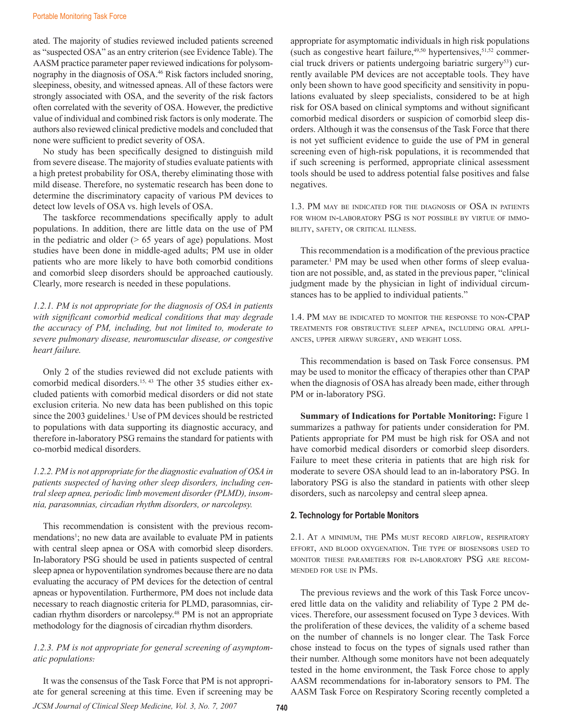ated. The majority of studies reviewed included patients screened as "suspected OSA" as an entry criterion (see Evidence Table). The AASM practice parameter paper reviewed indications for polysomnography in the diagnosis of OSA.<sup>46</sup> Risk factors included snoring, sleepiness, obesity, and witnessed apneas. All of these factors were strongly associated with OSA, and the severity of the risk factors often correlated with the severity of OSA. However, the predictive value of individual and combined risk factors is only moderate. The authors also reviewed clinical predictive models and concluded that none were sufficient to predict severity of OSA.

No study has been specifically designed to distinguish mild from severe disease. The majority of studies evaluate patients with a high pretest probability for OSA, thereby eliminating those with mild disease. Therefore, no systematic research has been done to determine the discriminatory capacity of various PM devices to detect low levels of OSA vs. high levels of OSA.

The taskforce recommendations specifically apply to adult populations. In addition, there are little data on the use of PM in the pediatric and older  $($  > 65 years of age) populations. Most studies have been done in middle-aged adults; PM use in older patients who are more likely to have both comorbid conditions and comorbid sleep disorders should be approached cautiously. Clearly, more research is needed in these populations.

*1.2.1. PM is not appropriate for the diagnosis of OSA in patients with significant comorbid medical conditions that may degrade the accuracy of PM, including, but not limited to, moderate to severe pulmonary disease, neuromuscular disease, or congestive heart failure.*

Only 2 of the studies reviewed did not exclude patients with comorbid medical disorders.15, 43 The other 35 studies either excluded patients with comorbid medical disorders or did not state exclusion criteria. No new data has been published on this topic since the 2003 guidelines.<sup>1</sup> Use of PM devices should be restricted to populations with data supporting its diagnostic accuracy, and therefore in-laboratory PSG remains the standard for patients with co-morbid medical disorders.

*1.2.2. PM is not appropriate for the diagnostic evaluation of OSA in patients suspected of having other sleep disorders, including central sleep apnea, periodic limb movement disorder (PLMD), insomnia, parasomnias, circadian rhythm disorders, or narcolepsy.*

This recommendation is consistent with the previous recommendations<sup>1</sup>; no new data are available to evaluate PM in patients with central sleep apnea or OSA with comorbid sleep disorders. In-laboratory PSG should be used in patients suspected of central sleep apnea or hypoventilation syndromes because there are no data evaluating the accuracy of PM devices for the detection of central apneas or hypoventilation. Furthermore, PM does not include data necessary to reach diagnostic criteria for PLMD, parasomnias, circadian rhythm disorders or narcolepsy.<sup>48</sup> PM is not an appropriate methodology for the diagnosis of circadian rhythm disorders.

# *1.2.3. PM is not appropriate for general screening of asymptomatic populations.*

*JCSM Journal of Clinical Sleep Medicine, Vol. 3, No. 7, 2007* **740** It was the consensus of the Task Force that PM is not appropriate for general screening at this time. Even if screening may be

appropriate for asymptomatic individuals in high risk populations (such as congestive heart failure, $49,50$  hypertensives, $51,52$  commercial truck drivers or patients undergoing bariatric surgery53) currently available PM devices are not acceptable tools. They have only been shown to have good specificity and sensitivity in populations evaluated by sleep specialists, considered to be at high risk for OSA based on clinical symptoms and without significant comorbid medical disorders or suspicion of comorbid sleep disorders. Although it was the consensus of the Task Force that there is not yet sufficient evidence to guide the use of PM in general screening even of high-risk populations, it is recommended that if such screening is performed, appropriate clinical assessment tools should be used to address potential false positives and false negatives.

1.3. PM MAY BE INDICATED FOR THE DIAGNOSIS OF OSA IN PATIENTS for whom in-laboratory PSG is not possible by virtue of immobility, safety, or critical illness.

This recommendation is a modification of the previous practice parameter.<sup>1</sup> PM may be used when other forms of sleep evaluation are not possible, and, as stated in the previous paper, "clinical judgment made by the physician in light of individual circumstances has to be applied to individual patients."

1.4. PM may be indicated to monitor the response to non-CPAP treatments for obstructive sleep apnea, including oral appliances, upper airway surgery, and weight loss.

This recommendation is based on Task Force consensus. PM may be used to monitor the efficacy of therapies other than CPAP when the diagnosis of OSA has already been made, either through PM or in-laboratory PSG.

**Summary of Indications for Portable Monitoring:** Figure 1 summarizes a pathway for patients under consideration for PM. Patients appropriate for PM must be high risk for OSA and not have comorbid medical disorders or comorbid sleep disorders. Failure to meet these criteria in patients that are high risk for moderate to severe OSA should lead to an in-laboratory PSG. In laboratory PSG is also the standard in patients with other sleep disorders, such as narcolepsy and central sleep apnea.

# **2. Technology for Portable Monitors**

2.1. At <sup>a</sup> minimum, the PMs must record airflow, respiratory effort, and blood oxygenation. The type of biosensors used to monitor these parameters for in-laboratory PSG are recommended for use in PMs.

The previous reviews and the work of this Task Force uncovered little data on the validity and reliability of Type 2 PM devices. Therefore, our assessment focused on Type 3 devices. With the proliferation of these devices, the validity of a scheme based on the number of channels is no longer clear. The Task Force chose instead to focus on the types of signals used rather than their number. Although some monitors have not been adequately tested in the home environment, the Task Force chose to apply AASM recommendations for in-laboratory sensors to PM. The AASM Task Force on Respiratory Scoring recently completed a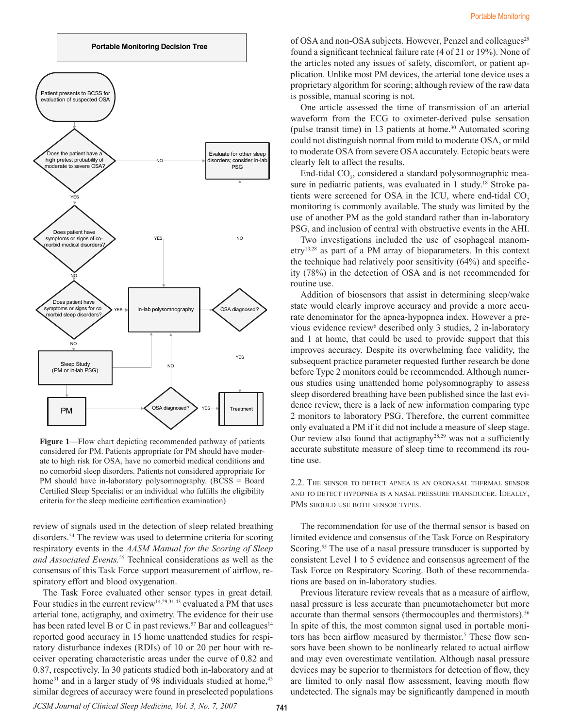

**Figure 1**—Flow chart depicting recommended pathway of patients considered for PM. Patients appropriate for PM should have moderate to high risk for OSA, have no comorbid medical conditions and no comorbid sleep disorders. Patients not considered appropriate for PM should have in-laboratory polysomnography. (BCSS = Board Certified Sleep Specialist or an individual who fulfills the eligibility criteria for the sleep medicine certification examination)

review of signals used in the detection of sleep related breathing disorders.<sup>54</sup> The review was used to determine criteria for scoring respiratory events in the *AASM Manual for the Scoring of Sleep and Associated Events.*55 Technical considerations as well as the consensus of this Task Force support measurement of airflow, respiratory effort and blood oxygenation.

The Task Force evaluated other sensor types in great detail. Four studies in the current review<sup>14,29,31,43</sup> evaluated a PM that uses arterial tone, actigraphy, and oximetry. The evidence for their use has been rated level B or C in past reviews.<sup>57</sup> Bar and colleagues<sup>14</sup> reported good accuracy in 15 home unattended studies for respiratory disturbance indexes (RDIs) of 10 or 20 per hour with receiver operating characteristic areas under the curve of 0.82 and 0.87, respectively. In 30 patients studied both in-laboratory and at home<sup>31</sup> and in a larger study of 98 individuals studied at home,<sup>43</sup> similar degrees of accuracy were found in preselected populations of OSA and non-OSA subjects. However, Penzel and colleagues<sup>29</sup> found a significant technical failure rate (4 of 21 or 19%). None of the articles noted any issues of safety, discomfort, or patient application. Unlike most PM devices, the arterial tone device uses a proprietary algorithm for scoring; although review of the raw data is possible, manual scoring is not.

One article assessed the time of transmission of an arterial waveform from the ECG to oximeter-derived pulse sensation (pulse transit time) in 13 patients at home.<sup>30</sup> Automated scoring could not distinguish normal from mild to moderate OSA, or mild to moderate OSA from severe OSA accurately. Ectopic beats were clearly felt to affect the results.

End-tidal CO<sub>2</sub>, considered a standard polysomnographic measure in pediatric patients, was evaluated in 1 study.<sup>18</sup> Stroke patients were screened for OSA in the ICU, where end-tidal CO<sub>2</sub> monitoring is commonly available. The study was limited by the use of another PM as the gold standard rather than in-laboratory PSG, and inclusion of central with obstructive events in the AHI.

Two investigations included the use of esophageal manometry13,28 as part of a PM array of bioparameters. In this context the technique had relatively poor sensitivity (64%) and specificity (78%) in the detection of OSA and is not recommended for routine use.

Addition of biosensors that assist in determining sleep/wake state would clearly improve accuracy and provide a more accurate denominator for the apnea-hypopnea index. However a previous evidence review<sup>6</sup> described only 3 studies, 2 in-laboratory and 1 at home, that could be used to provide support that this improves accuracy. Despite its overwhelming face validity, the subsequent practice parameter requested further research be done before Type 2 monitors could be recommended. Although numerous studies using unattended home polysomnography to assess sleep disordered breathing have been published since the last evidence review, there is a lack of new information comparing type 2 monitors to laboratory PSG. Therefore, the current committee only evaluated a PM if it did not include a measure of sleep stage. Our review also found that actigraphy28,29 was not a sufficiently accurate substitute measure of sleep time to recommend its routine use.

2.2. The sensor to detect apnea is an oronasal thermal sensor and to detect hypopnea is <sup>a</sup> nasal pressure transducer. Ideally, PMs should use both sensor types.

The recommendation for use of the thermal sensor is based on limited evidence and consensus of the Task Force on Respiratory Scoring.<sup>55</sup> The use of a nasal pressure transducer is supported by consistent Level 1 to 5 evidence and consensus agreement of the Task Force on Respiratory Scoring. Both of these recommendations are based on in-laboratory studies.

Previous literature review reveals that as a measure of airflow, nasal pressure is less accurate than pneumotachometer but more accurate than thermal sensors (thermocouples and thermistors).<sup>56</sup> In spite of this, the most common signal used in portable monitors has been airflow measured by thermistor.<sup>5</sup> These flow sensors have been shown to be nonlinearly related to actual airflow and may even overestimate ventilation. Although nasal pressure devices may be superior to thermistors for detection of flow, they are limited to only nasal flow assessment, leaving mouth flow undetected. The signals may be significantly dampened in mouth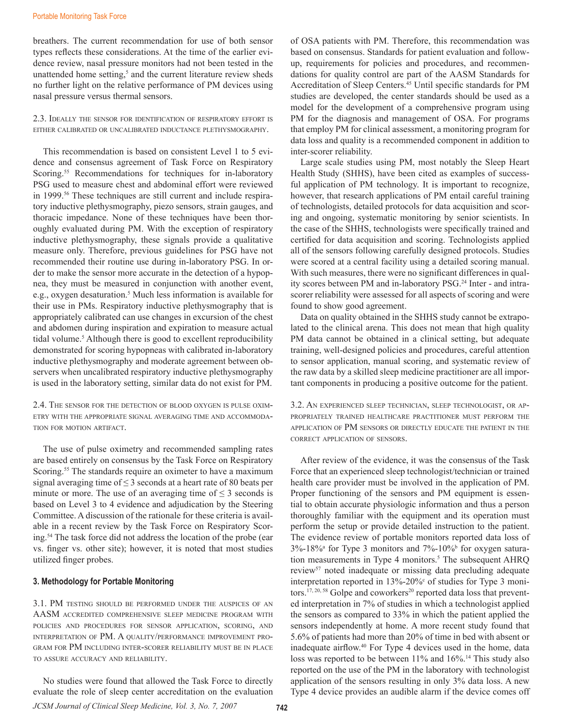breathers. The current recommendation for use of both sensor types reflects these considerations. At the time of the earlier evidence review, nasal pressure monitors had not been tested in the unattended home setting,<sup>5</sup> and the current literature review sheds no further light on the relative performance of PM devices using nasal pressure versus thermal sensors.

2.3. Ideally the sensor for identification of respiratory effort is either calibrated or uncalibrated inductance plethysmography.

This recommendation is based on consistent Level 1 to 5 evidence and consensus agreement of Task Force on Respiratory Scoring.<sup>55</sup> Recommendations for techniques for in-laboratory PSG used to measure chest and abdominal effort were reviewed in 1999.<sup>56</sup> These techniques are still current and include respiratory inductive plethysmography, piezo sensors, strain gauges, and thoracic impedance. None of these techniques have been thoroughly evaluated during PM. With the exception of respiratory inductive plethysmography, these signals provide a qualitative measure only. Therefore, previous guidelines for PSG have not recommended their routine use during in-laboratory PSG. In order to make the sensor more accurate in the detection of a hypopnea, they must be measured in conjunction with another event, e.g., oxygen desaturation.<sup>5</sup> Much less information is available for their use in PMs. Respiratory inductive plethysmography that is appropriately calibrated can use changes in excursion of the chest and abdomen during inspiration and expiration to measure actual tidal volume.<sup>5</sup> Although there is good to excellent reproducibility demonstrated for scoring hypopneas with calibrated in-laboratory inductive plethysmography and moderate agreement between observers when uncalibrated respiratory inductive plethysmography is used in the laboratory setting, similar data do not exist for PM.

2.4. The sensor for the detection of blood oxygen is pulse oximetry with the appropriate signal averaging time and accommodation for motion artifact.

The use of pulse oximetry and recommended sampling rates are based entirely on consensus by the Task Force on Respiratory Scoring.<sup>55</sup> The standards require an oximeter to have a maximum signal averaging time of  $\leq$  3 seconds at a heart rate of 80 beats per minute or more. The use of an averaging time of  $\leq$  3 seconds is based on Level 3 to 4 evidence and adjudication by the Steering Committee. A discussion of the rationale for these criteria is available in a recent review by the Task Force on Respiratory Scoring.<sup>54</sup> The task force did not address the location of the probe (ear vs. finger vs. other site); however, it is noted that most studies utilized finger probes.

# **3. Methodology for Portable Monitoring**

3.1. PM testing should be performed under the auspices of an AASM accredited comprehensive sleep medicine program with policies and procedures for sensor application, scoring, and interpretation of PM. A quality/performance improvement program for PM including inter-scorer reliability must be in place to assure accuracy and reliability.

*JCSM Journal of Clinical Sleep Medicine, Vol. 3, No. 7, 2007* **742** No studies were found that allowed the Task Force to directly evaluate the role of sleep center accreditation on the evaluation

of OSA patients with PM. Therefore, this recommendation was based on consensus. Standards for patient evaluation and followup, requirements for policies and procedures, and recommendations for quality control are part of the AASM Standards for Accreditation of Sleep Centers.45 Until specific standards for PM studies are developed, the center standards should be used as a model for the development of a comprehensive program using PM for the diagnosis and management of OSA. For programs that employ PM for clinical assessment, a monitoring program for data loss and quality is a recommended component in addition to inter-scorer reliability.

Large scale studies using PM, most notably the Sleep Heart Health Study (SHHS), have been cited as examples of successful application of PM technology. It is important to recognize, however, that research applications of PM entail careful training of technologists, detailed protocols for data acquisition and scoring and ongoing, systematic monitoring by senior scientists. In the case of the SHHS, technologists were specifically trained and certified for data acquisition and scoring. Technologists applied all of the sensors following carefully designed protocols. Studies were scored at a central facility using a detailed scoring manual. With such measures, there were no significant differences in quality scores between PM and in-laboratory PSG.<sup>24</sup> Inter - and intrascorer reliability were assessed for all aspects of scoring and were found to show good agreement.

Data on quality obtained in the SHHS study cannot be extrapolated to the clinical arena. This does not mean that high quality PM data cannot be obtained in a clinical setting, but adequate training, well-designed policies and procedures, careful attention to sensor application, manual scoring, and systematic review of the raw data by a skilled sleep medicine practitioner are all important components in producing a positive outcome for the patient.

3.2. An experienced sleep technician, sleep technologist, or appropriately trained healthcare practitioner must perform the application of PM sensors or directly educate the patient in the correct application of sensors.

After review of the evidence, it was the consensus of the Task Force that an experienced sleep technologist/technician or trained health care provider must be involved in the application of PM. Proper functioning of the sensors and PM equipment is essential to obtain accurate physiologic information and thus a person thoroughly familiar with the equipment and its operation must perform the setup or provide detailed instruction to the patient. The evidence review of portable monitors reported data loss of 3%-18%<sup>a</sup> for Type 3 monitors and 7%-10%<sup>b</sup> for oxygen saturation measurements in Type 4 monitors.<sup>5</sup> The subsequent AHRQ review<sup>57</sup> noted inadequate or missing data precluding adequate interpretation reported in 13%-20% of studies for Type 3 monitors.<sup>17, 20, 58</sup> Golpe and coworkers<sup>20</sup> reported data loss that prevented interpretation in 7% of studies in which a technologist applied the sensors as compared to 33% in which the patient applied the sensors independently at home. A more recent study found that 5.6% of patients had more than 20% of time in bed with absent or inadequate airflow.40 For Type 4 devices used in the home, data loss was reported to be between 11% and 16%.<sup>14</sup> This study also reported on the use of the PM in the laboratory with technologist application of the sensors resulting in only 3% data loss. A new Type 4 device provides an audible alarm if the device comes off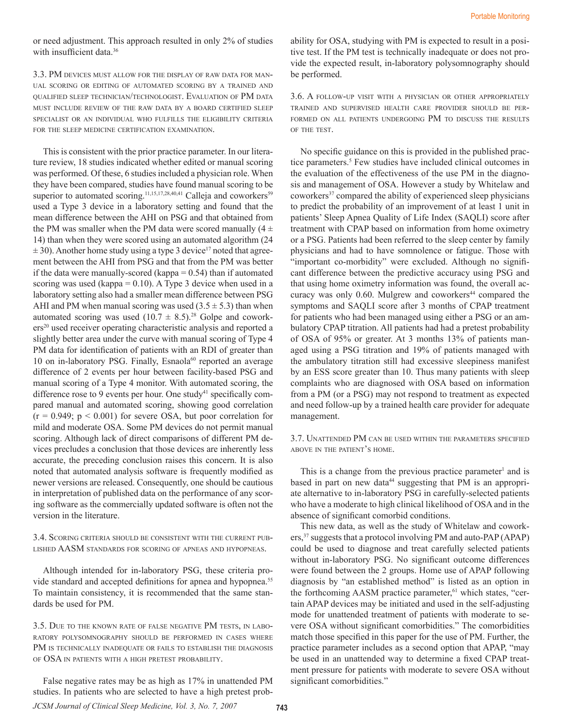or need adjustment. This approach resulted in only 2% of studies with insufficient data.<sup>36</sup>

3.3. PM devices must allow for the display of raw data for manual scoring or editing of automated scoring by a trained and qualified sleep technician/technologist. Evaluation of PM data must include review of the raw data by a board certified sleep specialist or an individual who fulfills the eligibility criteria for the sleep medicine certification examination.

This is consistent with the prior practice parameter. In our literature review, 18 studies indicated whether edited or manual scoring was performed. Of these, 6 studies included a physician role. When they have been compared, studies have found manual scoring to be superior to automated scoring.<sup>11,15,17,28,40,41</sup> Calleja and coworkers<sup>59</sup> used a Type 3 device in a laboratory setting and found that the mean difference between the AHI on PSG and that obtained from the PM was smaller when the PM data were scored manually  $(4 \pm$ 14) than when they were scored using an automated algorithm (24  $\pm$  30). Another home study using a type 3 device<sup>17</sup> noted that agreement between the AHI from PSG and that from the PM was better if the data were manually-scored (kappa  $= 0.54$ ) than if automated scoring was used (kappa  $= 0.10$ ). A Type 3 device when used in a laboratory setting also had a smaller mean difference between PSG AHI and PM when manual scoring was used  $(3.5 \pm 5.3)$  than when automated scoring was used  $(10.7 \pm 8.5).^{28}$  Golpe and coworkers<sup>20</sup> used receiver operating characteristic analysis and reported a slightly better area under the curve with manual scoring of Type 4 PM data for identification of patients with an RDI of greater than 10 on in-laboratory PSG. Finally, Esnaola<sup>60</sup> reported an average difference of 2 events per hour between facility-based PSG and manual scoring of a Type 4 monitor. With automated scoring, the difference rose to 9 events per hour. One study<sup>41</sup> specifically compared manual and automated scoring, showing good correlation  $(r = 0.949; p < 0.001)$  for severe OSA, but poor correlation for mild and moderate OSA. Some PM devices do not permit manual scoring. Although lack of direct comparisons of different PM devices precludes a conclusion that those devices are inherently less accurate, the preceding conclusion raises this concern. It is also noted that automated analysis software is frequently modified as newer versions are released. Consequently, one should be cautious in interpretation of published data on the performance of any scoring software as the commercially updated software is often not the version in the literature.

3.4. Scoring criteria should be consistent with the current published AASM standards for scoring of apneas and hypopneas.

Although intended for in-laboratory PSG, these criteria provide standard and accepted definitions for apnea and hypopnea.<sup>55</sup> To maintain consistency, it is recommended that the same standards be used for PM.

3.5. Due to the known rate of false negative PM tests, in laboratory polysomnography should be performed in cases where PM is TECHNICALLY INADEQUATE OR FAILS TO ESTABLISH THE DIAGNOSIS of OSA in patients with <sup>a</sup> high pretest probability.

*JCSM Journal of Clinical Sleep Medicine, Vol. 3, No. 7, 2007* **743** False negative rates may be as high as 17% in unattended PM studies. In patients who are selected to have a high pretest prob-

ability for OSA, studying with PM is expected to result in a positive test. If the PM test is technically inadequate or does not provide the expected result, in-laboratory polysomnography should be performed.

3.6. A follow-up visit with <sup>a</sup> physician or other appropriately trained and supervised health care provider should be performed on all patients undergoing PM to discuss the results of the test.

No specific guidance on this is provided in the published practice parameters.<sup>5</sup> Few studies have included clinical outcomes in the evaluation of the effectiveness of the use PM in the diagnosis and management of OSA. However a study by Whitelaw and coworkers<sup>37</sup> compared the ability of experienced sleep physicians to predict the probability of an improvement of at least 1 unit in patients' Sleep Apnea Quality of Life Index (SAQLI) score after treatment with CPAP based on information from home oximetry or a PSG. Patients had been referred to the sleep center by family physicians and had to have somnolence or fatigue. Those with "important co-morbidity" were excluded. Although no significant difference between the predictive accuracy using PSG and that using home oximetry information was found, the overall accuracy was only 0.60. Mulgrew and coworkers<sup>44</sup> compared the symptoms and SAQLI score after 3 months of CPAP treatment for patients who had been managed using either a PSG or an ambulatory CPAP titration. All patients had had a pretest probability of OSA of 95% or greater. At 3 months 13% of patients managed using a PSG titration and 19% of patients managed with the ambulatory titration still had excessive sleepiness manifest by an ESS score greater than 10. Thus many patients with sleep complaints who are diagnosed with OSA based on information from a PM (or a PSG) may not respond to treatment as expected and need follow-up by a trained health care provider for adequate management.

3.7. Unattended PM can be used within the parameters specified above in the patient's home.

This is a change from the previous practice parameter $<sup>1</sup>$  and is</sup> based in part on new data<sup>44</sup> suggesting that PM is an appropriate alternative to in-laboratory PSG in carefully-selected patients who have a moderate to high clinical likelihood of OSA and in the absence of significant comorbid conditions.

This new data, as well as the study of Whitelaw and coworkers,<sup>37</sup> suggests that a protocol involving PM and auto-PAP (APAP) could be used to diagnose and treat carefully selected patients without in-laboratory PSG. No significant outcome differences were found between the 2 groups. Home use of APAP following diagnosis by "an established method" is listed as an option in the forthcoming AASM practice parameter,<sup>61</sup> which states, "certain APAP devices may be initiated and used in the self-adjusting mode for unattended treatment of patients with moderate to severe OSA without significant comorbidities." The comorbidities match those specified in this paper for the use of PM. Further, the practice parameter includes as a second option that APAP, "may be used in an unattended way to determine a fixed CPAP treatment pressure for patients with moderate to severe OSA without significant comorbidities."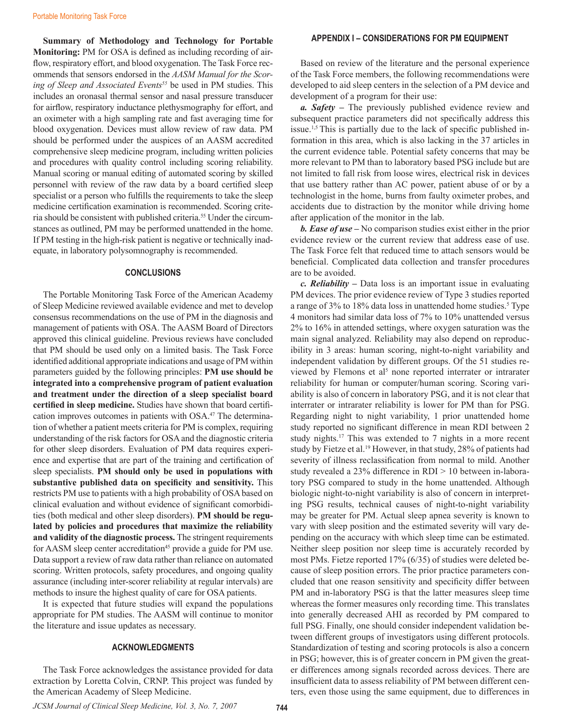**Summary of Methodology and Technology for Portable Monitoring:** PM for OSA is defined as including recording of airflow, respiratory effort, and blood oxygenation. The Task Force recommends that sensors endorsed in the *AASM Manual for the Scoring of Sleep and Associated Events<sup>55</sup>* be used in PM studies. This includes an oronasal thermal sensor and nasal pressure transducer for airflow, respiratory inductance plethysmography for effort, and an oximeter with a high sampling rate and fast averaging time for blood oxygenation. Devices must allow review of raw data. PM should be performed under the auspices of an AASM accredited comprehensive sleep medicine program, including written policies and procedures with quality control including scoring reliability. Manual scoring or manual editing of automated scoring by skilled personnel with review of the raw data by a board certified sleep specialist or a person who fulfills the requirements to take the sleep medicine certification examination is recommended. Scoring criteria should be consistent with published criteria.55 Under the circumstances as outlined, PM may be performed unattended in the home. If PM testing in the high-risk patient is negative or technically inadequate, in laboratory polysomnography is recommended.

# **Conclusions**

The Portable Monitoring Task Force of the American Academy of Sleep Medicine reviewed available evidence and met to develop consensus recommendations on the use of PM in the diagnosis and management of patients with OSA. The AASM Board of Directors approved this clinical guideline. Previous reviews have concluded that PM should be used only on a limited basis. The Task Force identified additional appropriate indications and usage of PM within parameters guided by the following principles: **PM use should be integrated into a comprehensive program of patient evaluation and treatment under the direction of a sleep specialist board certified in sleep medicine.** Studies have shown that board certification improves outcomes in patients with OSA.47 The determination of whether a patient meets criteria for PM is complex, requiring understanding of the risk factors for OSA and the diagnostic criteria for other sleep disorders. Evaluation of PM data requires experience and expertise that are part of the training and certification of sleep specialists. **PM should only be used in populations with substantive published data on specificity and sensitivity.** This restricts PM use to patients with a high probability of OSA based on clinical evaluation and without evidence of significant comorbidities (both medical and other sleep disorders). **PM should be regulated by policies and procedures that maximize the reliability and validity of the diagnostic process.** The stringent requirements for AASM sleep center accreditation<sup>45</sup> provide a guide for PM use. Data support a review of raw data rather than reliance on automated scoring. Written protocols, safety procedures, and ongoing quality assurance (including inter-scorer reliability at regular intervals) are methods to insure the highest quality of care for OSA patients.

It is expected that future studies will expand the populations appropriate for PM studies. The AASM will continue to monitor the literature and issue updates as necessary.

# **ACKNOWLEDGMENTS**

The Task Force acknowledges the assistance provided for data extraction by Loretta Colvin, CRNP. This project was funded by the American Academy of Sleep Medicine.

#### **Appendix I – Considerations for PM Equipment**

Based on review of the literature and the personal experience of the Task Force members, the following recommendations were developed to aid sleep centers in the selection of a PM device and development of a program for their use:

*a. Safety* **–** The previously published evidence review and subsequent practice parameters did not specifically address this issue.1,5 This is partially due to the lack of specific published information in this area, which is also lacking in the 37 articles in the current evidence table. Potential safety concerns that may be more relevant to PM than to laboratory based PSG include but are not limited to fall risk from loose wires, electrical risk in devices that use battery rather than AC power, patient abuse of or by a technologist in the home, burns from faulty oximeter probes, and accidents due to distraction by the monitor while driving home after application of the monitor in the lab.

*b. Ease of use* **–** No comparison studies exist either in the prior evidence review or the current review that address ease of use. The Task Force felt that reduced time to attach sensors would be beneficial. Complicated data collection and transfer procedures are to be avoided.

*c. Reliability* **–** Data loss is an important issue in evaluating PM devices. The prior evidence review of Type 3 studies reported a range of 3% to 18% data loss in unattended home studies.<sup>5</sup> Type 4 monitors had similar data loss of 7% to 10% unattended versus 2% to 16% in attended settings, where oxygen saturation was the main signal analyzed. Reliability may also depend on reproducibility in 3 areas: human scoring, night-to-night variability and independent validation by different groups. Of the 51 studies reviewed by Flemons et al<sup>5</sup> none reported interrater or intrarater reliability for human or computer/human scoring. Scoring variability is also of concern in laboratory PSG, and it is not clear that interrater or intrarater reliability is lower for PM than for PSG. Regarding night to night variability, 1 prior unattended home study reported no significant difference in mean RDI between 2 study nights.17 This was extended to 7 nights in a more recent study by Fietze et al.<sup>19</sup> However, in that study, 28% of patients had severity of illness reclassification from normal to mild. Another study revealed a 23% difference in RDI > 10 between in-laboratory PSG compared to study in the home unattended. Although biologic night-to-night variability is also of concern in interpreting PSG results, technical causes of night-to-night variability may be greater for PM. Actual sleep apnea severity is known to vary with sleep position and the estimated severity will vary depending on the accuracy with which sleep time can be estimated. Neither sleep position nor sleep time is accurately recorded by most PMs. Fietze reported 17% (6/35) of studies were deleted because of sleep position errors. The prior practice parameters concluded that one reason sensitivity and specificity differ between PM and in-laboratory PSG is that the latter measures sleep time whereas the former measures only recording time. This translates into generally decreased AHI as recorded by PM compared to full PSG. Finally, one should consider independent validation between different groups of investigators using different protocols. Standardization of testing and scoring protocols is also a concern in PSG; however, this is of greater concern in PM given the greater differences among signals recorded across devices. There are insufficient data to assess reliability of PM between different centers, even those using the same equipment, due to differences in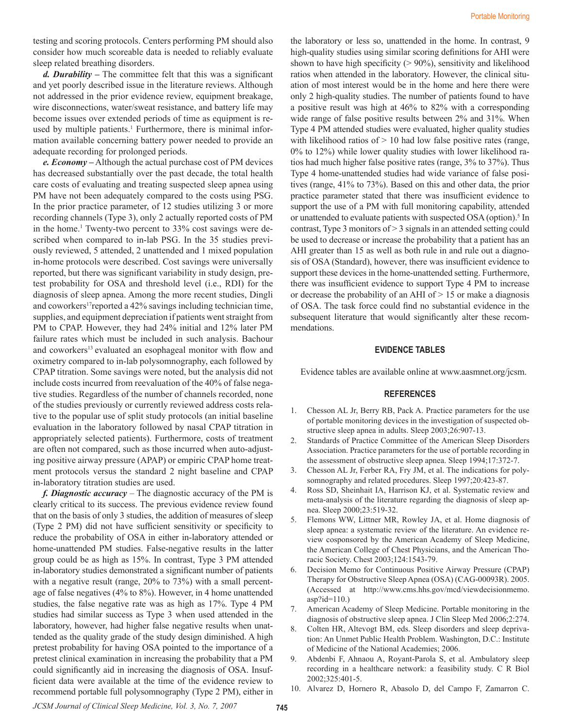testing and scoring protocols. Centers performing PM should also consider how much scoreable data is needed to reliably evaluate sleep related breathing disorders.

*d. Durability* **–** The committee felt that this was a significant and yet poorly described issue in the literature reviews. Although not addressed in the prior evidence review, equipment breakage, wire disconnections, water/sweat resistance, and battery life may become issues over extended periods of time as equipment is reused by multiple patients.<sup>1</sup> Furthermore, there is minimal information available concerning battery power needed to provide an adequate recording for prolonged periods.

*e. Economy* **–** Although the actual purchase cost of PM devices has decreased substantially over the past decade, the total health care costs of evaluating and treating suspected sleep apnea using PM have not been adequately compared to the costs using PSG. In the prior practice parameter, of 12 studies utilizing 3 or more recording channels (Type 3), only 2 actually reported costs of PM in the home.<sup>1</sup> Twenty-two percent to 33% cost savings were described when compared to in-lab PSG. In the 35 studies previously reviewed, 5 attended, 2 unattended and 1 mixed population in-home protocols were described. Cost savings were universally reported, but there was significant variability in study design, pretest probability for OSA and threshold level (i.e., RDI) for the diagnosis of sleep apnea. Among the more recent studies, Dingli and coworkers<sup>17</sup>reported a 42% savings including technician time, supplies, and equipment depreciation if patients went straight from PM to CPAP. However, they had 24% initial and 12% later PM failure rates which must be included in such analysis. Bachour and coworkers<sup>13</sup> evaluated an esophageal monitor with flow and oximetry compared to in-lab polysomnography, each followed by CPAP titration. Some savings were noted, but the analysis did not include costs incurred from reevaluation of the 40% of false negative studies. Regardless of the number of channels recorded, none of the studies previously or currently reviewed address costs relative to the popular use of split study protocols (an initial baseline evaluation in the laboratory followed by nasal CPAP titration in appropriately selected patients). Furthermore, costs of treatment are often not compared, such as those incurred when auto-adjusting positive airway pressure (APAP) or empiric CPAP home treatment protocols versus the standard 2 night baseline and CPAP in-laboratory titration studies are used.

*f. Diagnostic accuracy* – The diagnostic accuracy of the PM is clearly critical to its success. The previous evidence review found that on the basis of only 3 studies, the addition of measures of sleep (Type 2 PM) did not have sufficient sensitivity or specificity to reduce the probability of OSA in either in-laboratory attended or home-unattended PM studies. False-negative results in the latter group could be as high as 15%. In contrast, Type 3 PM attended in-laboratory studies demonstrated a significant number of patients with a negative result (range, 20% to 73%) with a small percentage of false negatives (4% to 8%). However, in 4 home unattended studies, the false negative rate was as high as 17%. Type 4 PM studies had similar success as Type 3 when used attended in the laboratory, however, had higher false negative results when unattended as the quality grade of the study design diminished. A high pretest probability for having OSA pointed to the importance of a pretest clinical examination in increasing the probability that a PM could significantly aid in increasing the diagnosis of OSA. Insufficient data were available at the time of the evidence review to recommend portable full polysomnography (Type 2 PM), either in

the laboratory or less so, unattended in the home. In contrast, 9 high-quality studies using similar scoring definitions for AHI were shown to have high specificity  $(> 90\%)$ , sensitivity and likelihood ratios when attended in the laboratory. However, the clinical situation of most interest would be in the home and here there were only 2 high-quality studies. The number of patients found to have a positive result was high at 46% to 82% with a corresponding wide range of false positive results between 2% and 31%. When Type 4 PM attended studies were evaluated, higher quality studies with likelihood ratios of  $> 10$  had low false positive rates (range, 0% to 12%) while lower quality studies with lower likelihood ratios had much higher false positive rates (range, 3% to 37%). Thus Type 4 home-unattended studies had wide variance of false positives (range, 41% to 73%). Based on this and other data, the prior practice parameter stated that there was insufficient evidence to support the use of a PM with full monitoring capability, attended or unattended to evaluate patients with suspected OSA (option).<sup>5</sup> In contrast, Type 3 monitors of > 3 signals in an attended setting could be used to decrease or increase the probability that a patient has an AHI greater than 15 as well as both rule in and rule out a diagnosis of OSA (Standard), however, there was insufficient evidence to support these devices in the home-unattended setting. Furthermore, there was insufficient evidence to support Type 4 PM to increase or decrease the probability of an AHI of  $> 15$  or make a diagnosis of OSA. The task force could find no substantial evidence in the subsequent literature that would significantly alter these recommendations.

### **Evidence Tables**

Evidence tables are available online at www.aasmnet.org/jcsm.

#### **REFERENCES**

- 1. Chesson AL Jr, Berry RB, Pack A. Practice parameters for the use of portable monitoring devices in the investigation of suspected obstructive sleep apnea in adults. Sleep 2003;26:907-13.
- 2. Standards of Practice Committee of the American Sleep Disorders Association. Practice parameters for the use of portable recording in the assessment of obstructive sleep apnea. Sleep 1994;17:372-7.
- 3. Chesson AL Jr, Ferber RA, Fry JM, et al. The indications for polysomnography and related procedures. Sleep 1997;20:423-87.
- 4. Ross SD, Sheinhait IA, Harrison KJ, et al. Systematic review and meta-analysis of the literature regarding the diagnosis of sleep apnea. Sleep 2000;23:519-32.
- 5. Flemons WW, Littner MR, Rowley JA, et al. Home diagnosis of sleep apnea: a systematic review of the literature. An evidence review cosponsored by the American Academy of Sleep Medicine, the American College of Chest Physicians, and the American Thoracic Society. Chest 2003;124:1543-79.
- 6. Decision Memo for Continuous Positive Airway Pressure (CPAP) Therapy for Obstructive Sleep Apnea (OSA) (CAG-00093R). 2005. (Accessed at http://www.cms.hhs.gov/mcd/viewdecisionmemo.  $asp?id=110.$
- 7. American Academy of Sleep Medicine. Portable monitoring in the diagnosis of obstructive sleep apnea. J Clin Sleep Med 2006;2:274.
- 8. Colten HR, Altevogt BM, eds. Sleep disorders and sleep deprivation: An Unmet Public Health Problem. Washington, D.C.: Institute of Medicine of the National Academies; 2006.
- 9. Abdenbi F, Ahnaou A, Royant-Parola S, et al. Ambulatory sleep recording in a healthcare network: a feasibility study. C R Biol 2002;325:401-5.
- 10. Alvarez D, Hornero R, Abasolo D, del Campo F, Zamarron C.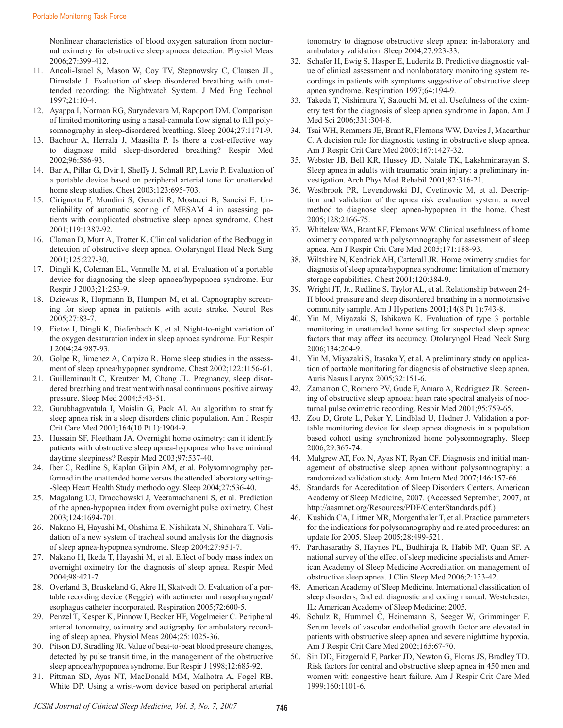Nonlinear characteristics of blood oxygen saturation from nocturnal oximetry for obstructive sleep apnoea detection. Physiol Meas 2006;27:399-412.

- 11. Ancoli-Israel S, Mason W, Coy TV, Stepnowsky C, Clausen JL, Dimsdale J. Evaluation of sleep disordered breathing with unattended recording: the Nightwatch System. J Med Eng Technol 1997;21:10-4.
- 12. Ayappa I, Norman RG, Suryadevara M, Rapoport DM. Comparison of limited monitoring using a nasal-cannula flow signal to full polysomnography in sleep-disordered breathing. Sleep 2004;27:1171-9.
- 13. Bachour A, Herrala J, Maasilta P. Is there a cost-effective way to diagnose mild sleep-disordered breathing? Respir Med 2002;96:586-93.
- 14. Bar A, Pillar G, Dvir I, Sheffy J, Schnall RP, Lavie P. Evaluation of a portable device based on peripheral arterial tone for unattended home sleep studies. Chest 2003;123:695-703.
- 15. Cirignotta F, Mondini S, Gerardi R, Mostacci B, Sancisi E. Unreliability of automatic scoring of MESAM 4 in assessing patients with complicated obstructive sleep apnea syndrome. Chest 2001;119:1387-92.
- 16. Claman D, Murr A, Trotter K. Clinical validation of the Bedbugg in detection of obstructive sleep apnea. Otolaryngol Head Neck Surg 2001;125:227-30.
- 17. Dingli K, Coleman EL, Vennelle M, et al. Evaluation of a portable device for diagnosing the sleep apnoea/hypopnoea syndrome. Eur Respir J 2003;21:253-9.
- 18. Dziewas R, Hopmann B, Humpert M, et al. Capnography screening for sleep apnea in patients with acute stroke. Neurol Res 2005;27:83-7.
- 19. Fietze I, Dingli K, Diefenbach K, et al. Night-to-night variation of the oxygen desaturation index in sleep apnoea syndrome. Eur Respir J 2004;24:987-93.
- 20. Golpe R, Jimenez A, Carpizo R. Home sleep studies in the assessment of sleep apnea/hypopnea syndrome. Chest 2002;122:1156-61.
- 21. Guilleminault C, Kreutzer M, Chang JL. Pregnancy, sleep disordered breathing and treatment with nasal continuous positive airway pressure. Sleep Med 2004;5:43-51.
- 22. Gurubhagavatula I, Maislin G, Pack AI. An algorithm to stratify sleep apnea risk in a sleep disorders clinic population. Am J Respir Crit Care Med 2001;164(10 Pt 1):1904-9.
- 23. Hussain SF, Fleetham JA. Overnight home oximetry: can it identify patients with obstructive sleep apnea-hypopnea who have minimal daytime sleepiness? Respir Med 2003;97:537-40.
- 24. Iber C, Redline S, Kaplan Gilpin AM, et al. Polysomnography performed in the unattended home versus the attended laboratory setting- -Sleep Heart Health Study methodology. Sleep 2004;27:536-40.
- 25. Magalang UJ, Dmochowski J, Veeramachaneni S, et al. Prediction of the apnea-hypopnea index from overnight pulse oximetry. Chest 2003;124:1694-701.
- 26. Nakano H, Hayashi M, Ohshima E, Nishikata N, Shinohara T. Validation of a new system of tracheal sound analysis for the diagnosis of sleep apnea-hypopnea syndrome. Sleep 2004;27:951-7.
- 27. Nakano H, Ikeda T, Hayashi M, et al. Effect of body mass index on overnight oximetry for the diagnosis of sleep apnea. Respir Med 2004;98:421-7.
- 28. Overland B, Bruskeland G, Akre H, Skatvedt O. Evaluation of a portable recording device (Reggie) with actimeter and nasopharyngeal/ esophagus catheter incorporated. Respiration 2005;72:600-5.
- 29. Penzel T, Kesper K, Pinnow I, Becker HF, Vogelmeier C. Peripheral arterial tonometry, oximetry and actigraphy for ambulatory recording of sleep apnea. Physiol Meas 2004;25:1025-36.
- 30. Pitson DJ, Stradling JR. Value of beat-to-beat blood pressure changes, detected by pulse transit time, in the management of the obstructive sleep apnoea/hypopnoea syndrome. Eur Respir J 1998;12:685-92.
- 31. Pittman SD, Ayas NT, MacDonald MM, Malhotra A, Fogel RB, White DP. Using a wrist-worn device based on peripheral arterial

tonometry to diagnose obstructive sleep apnea: in-laboratory and ambulatory validation. Sleep 2004;27:923-33.

- 32. Schafer H, Ewig S, Hasper E, Luderitz B. Predictive diagnostic value of clinical assessment and nonlaboratory monitoring system recordings in patients with symptoms suggestive of obstructive sleep apnea syndrome. Respiration 1997;64:194-9.
- 33. Takeda T, Nishimura Y, Satouchi M, et al. Usefulness of the oximetry test for the diagnosis of sleep apnea syndrome in Japan. Am J Med Sci 2006;331:304-8.
- 34. Tsai WH, Remmers JE, Brant R, Flemons WW, Davies J, Macarthur C. A decision rule for diagnostic testing in obstructive sleep apnea. Am J Respir Crit Care Med 2003;167:1427-32.
- 35. Webster JB, Bell KR, Hussey JD, Natale TK, Lakshminarayan S. Sleep apnea in adults with traumatic brain injury: a preliminary investigation. Arch Phys Med Rehabil 2001;82:316-21.
- 36. Westbrook PR, Levendowski DJ, Cvetinovic M, et al. Description and validation of the apnea risk evaluation system: a novel method to diagnose sleep apnea-hypopnea in the home. Chest 2005;128:2166-75.
- 37. Whitelaw WA, Brant RF, Flemons WW. Clinical usefulness of home oximetry compared with polysomnography for assessment of sleep apnea. Am J Respir Crit Care Med 2005;171:188-93.
- 38. Wiltshire N, Kendrick AH, Catterall JR. Home oximetry studies for diagnosis of sleep apnea/hypopnea syndrome: limitation of memory storage capabilities. Chest 2001;120:384-9.
- 39. Wright JT, Jr., Redline S, Taylor AL, et al. Relationship between 24- H blood pressure and sleep disordered breathing in a normotensive community sample. Am J Hypertens 2001;14(8 Pt 1):743-8.
- 40. Yin M, Miyazaki S, Ishikawa K. Evaluation of type 3 portable monitoring in unattended home setting for suspected sleep apnea: factors that may affect its accuracy. Otolaryngol Head Neck Surg 2006;134:204-9.
- 41. Yin M, Miyazaki S, Itasaka Y, et al. A preliminary study on application of portable monitoring for diagnosis of obstructive sleep apnea. Auris Nasus Larynx 2005;32:151-6.
- 42. Zamarron C, Romero PV, Gude F, Amaro A, Rodriguez JR. Screening of obstructive sleep apnoea: heart rate spectral analysis of nocturnal pulse oximetric recording. Respir Med 2001;95:759-65.
- 43. Zou D, Grote L, Peker Y, Lindblad U, Hedner J. Validation a portable monitoring device for sleep apnea diagnosis in a population based cohort using synchronized home polysomnography. Sleep 2006;29:367-74.
- 44. Mulgrew AT, Fox N, Ayas NT, Ryan CF. Diagnosis and initial management of obstructive sleep apnea without polysomnography: a randomized validation study. Ann Intern Med 2007;146:157-66.
- 45. Standards for Accreditation of Sleep Disorders Centers. American Academy of Sleep Medicine, 2007. (Accessed September, 2007, at http://aasmnet.org/Resources/PDF/CenterStandards.pdf.)
- 46. Kushida CA, Littner MR, Morgenthaler T, et al. Practice parameters for the indications for polysomnography and related procedures: an update for 2005. Sleep 2005;28:499-521.
- 47. Parthasarathy S, Haynes PL, Budhiraja R, Habib MP, Quan SF. A national survey of the effect of sleep medicine specialists and American Academy of Sleep Medicine Accreditation on management of obstructive sleep apnea. J Clin Sleep Med 2006;2:133-42.
- 48. American Academy of Sleep Medicine. International classification of sleep disorders, 2nd ed. diagnostic and coding manual. Westchester, IL: American Academy of Sleep Medicine; 2005.
- 49. Schulz R, Hummel C, Heinemann S, Seeger W, Grimminger F. Serum levels of vascular endothelial growth factor are elevated in patients with obstructive sleep apnea and severe nighttime hypoxia. Am J Respir Crit Care Med 2002;165:67-70.
- 50. Sin DD, Fitzgerald F, Parker JD, Newton G, Floras JS, Bradley TD. Risk factors for central and obstructive sleep apnea in 450 men and women with congestive heart failure. Am J Respir Crit Care Med 1999;160:1101-6.